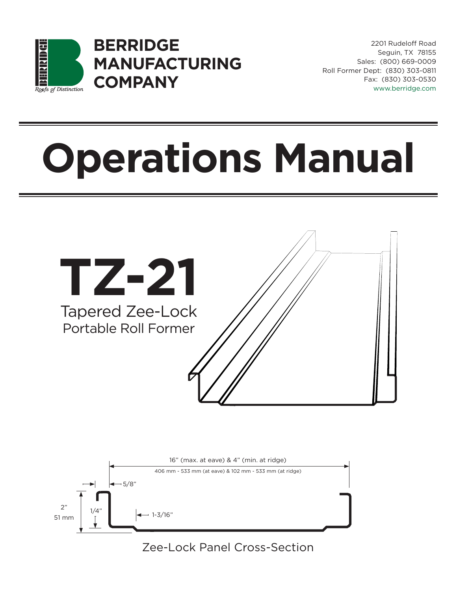

**BERRIDGE MANUFACTURING COMPANY**

2201 Rudeloff Road Seguin, TX 78155 Sales: (800) 669-0009 Roll Former Dept: (830) 303-0811 Fax: (830) 303-0530 www.berridge.com

# **Operations Manual**





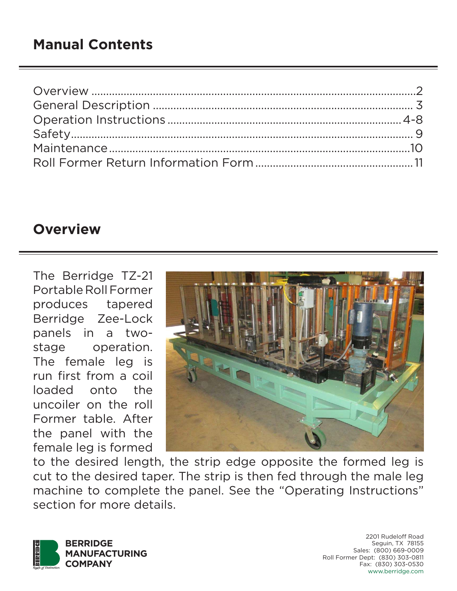# **Overview**

The Berridge TZ-21 Portable Roll Former produces tapered Berridge Zee-Lock panels in a twostage operation. The female leg is run first from a coil loaded onto the uncoiler on the roll Former table. After the panel with the female leg is formed



to the desired length, the strip edge opposite the formed leg is cut to the desired taper. The strip is then fed through the male leg machine to complete the panel. See the "Operating Instructions" section for more details.

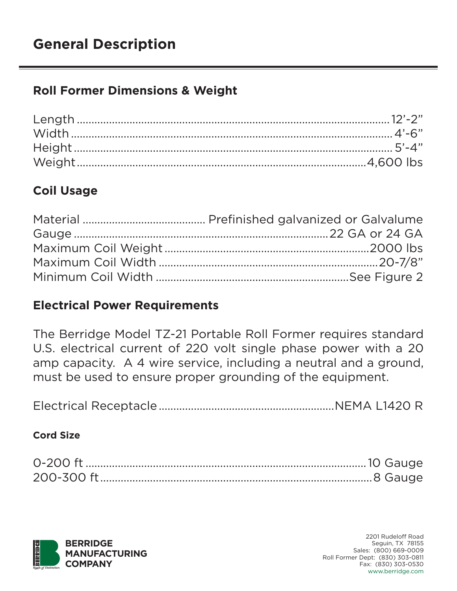# **Roll Former Dimensions & Weight**

# **Coil Usage**

#### **Electrical Power Requirements**

The Berridge Model TZ-21 Portable Roll Former requires standard U.S. electrical current of 220 volt single phase power with a 20 amp capacity. A 4 wire service, including a neutral and a ground, must be used to ensure proper grounding of the equipment.

Electrical Receptacle ............................................................NEMA L1420 R

#### **Cord Size**

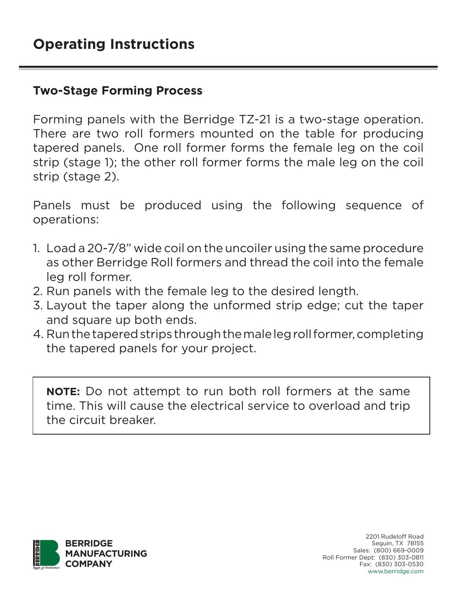#### **Two-Stage Forming Process**

Forming panels with the Berridge TZ-21 is a two-stage operation. There are two roll formers mounted on the table for producing tapered panels. One roll former forms the female leg on the coil strip (stage 1); the other roll former forms the male leg on the coil strip (stage 2).

Panels must be produced using the following sequence of operations:

- 1. Load a 20-7/8" wide coil on the uncoiler using the same procedure as other Berridge Roll formers and thread the coil into the female leg roll former.
- 2. Run panels with the female leg to the desired length.
- 3. Layout the taper along the unformed strip edge; cut the taper and square up both ends.
- 4. Run the tapered strips through the male leg roll former, completing the tapered panels for your project.

**NOTE:** Do not attempt to run both roll formers at the same time. This will cause the electrical service to overload and trip the circuit breaker.

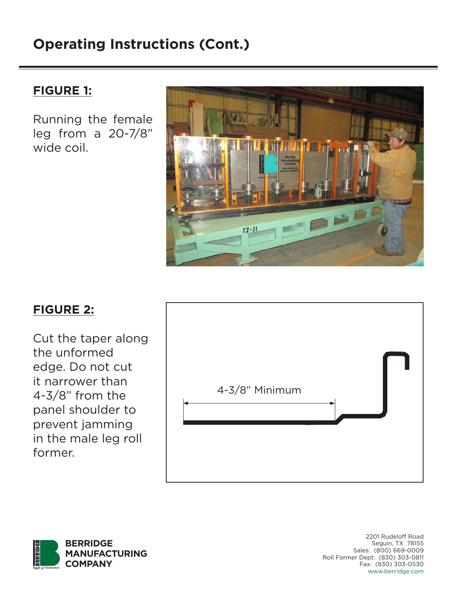#### **FIGURE 1:**

Running the female leg from a 20-7/8" wide coil.



# **FIGURE 2:**

Cut the taper along the unformed edge. Do not cut it narrower than 4-3/8" from the panel shoulder to prevent jamming in the male leg roll former.



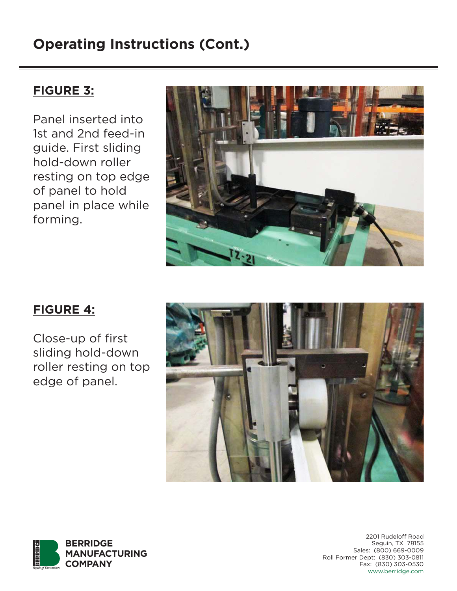#### **FIGURE 3:**

Panel inserted into 1st and 2nd feed-in guide. First sliding hold-down roller resting on top edge of panel to hold panel in place while forming.



# **FIGURE 4:**

Close-up of first sliding hold-down roller resting on top edge of panel.



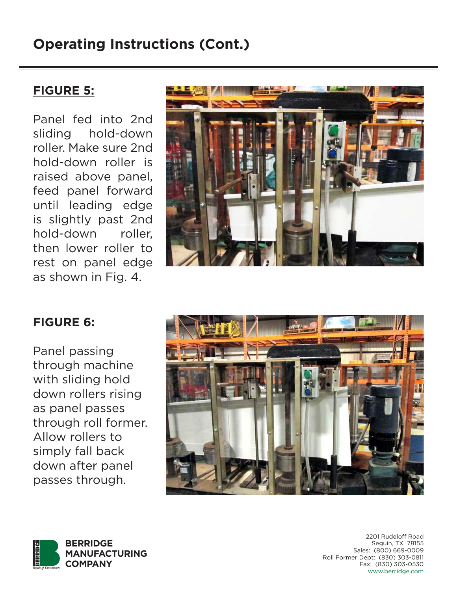#### **FIGURE 5:**

Panel fed into 2nd sliding hold-down roller. Make sure 2nd hold-down roller is raised above panel, feed panel forward until leading edge is slightly past 2nd hold-down roller, then lower roller to rest on panel edge as shown in Fig. 4.



#### **FIGURE 6:**

Panel passing through machine with sliding hold down rollers rising as panel passes through roll former. Allow rollers to simply fall back down after panel passes through.



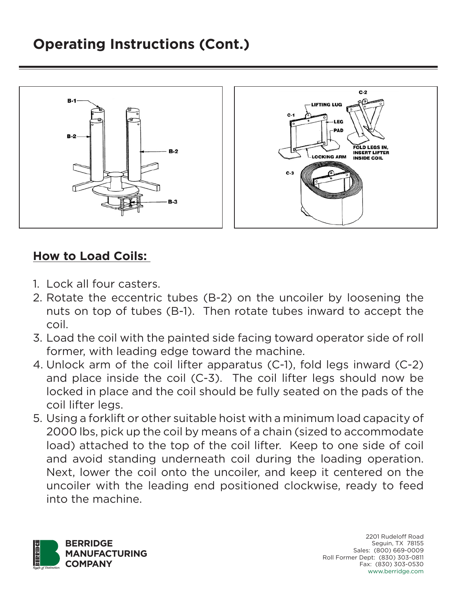

### **How to Load Coils:**

- 1. Lock all four casters.
- 2. Rotate the eccentric tubes (B-2) on the uncoiler by loosening the nuts on top of tubes (B-1). Then rotate tubes inward to accept the coil.
- 3. Load the coil with the painted side facing toward operator side of roll former, with leading edge toward the machine.
- 4. Unlock arm of the coil lifter apparatus (C-1), fold legs inward (C-2) and place inside the coil (C-3). The coil lifter legs should now be locked in place and the coil should be fully seated on the pads of the coil lifter legs.
- 5. Using a forklift or other suitable hoist with a minimum load capacity of 2000 lbs, pick up the coil by means of a chain (sized to accommodate load) attached to the top of the coil lifter. Keep to one side of coil and avoid standing underneath coil during the loading operation. Next, lower the coil onto the uncoiler, and keep it centered on the uncoiler with the leading end positioned clockwise, ready to feed into the machine.

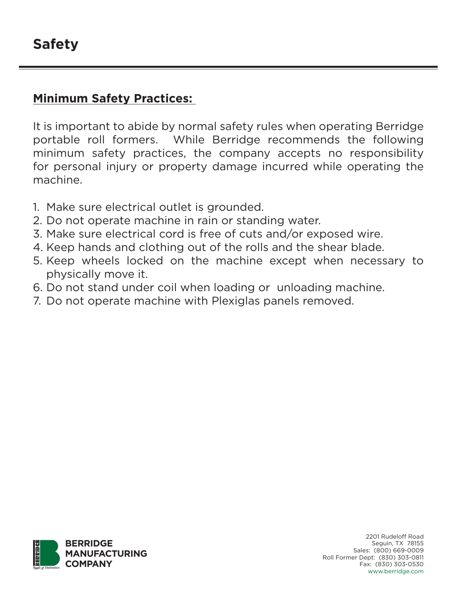#### **Minimum Safety Practices:**

It is important to abide by normal safety rules when operating Berridge portable roll formers. While Berridge recommends the following minimum safety practices, the company accepts no responsibility for personal injury or property damage incurred while operating the machine.

- 1. Make sure electrical outlet is grounded.
- 2. Do not operate machine in rain or standing water.
- 3. Make sure electrical cord is free of cuts and/or exposed wire.
- 4. Keep hands and clothing out of the rolls and the shear blade.
- 5. Keep wheels locked on the machine except when necessary to physically move it.
- 6. Do not stand under coil when loading or unloading machine.
- 7. Do not operate machine with Plexiglas panels removed.

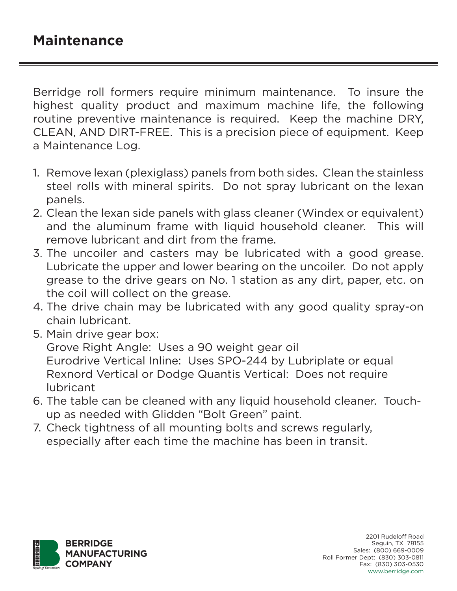Berridge roll formers require minimum maintenance. To insure the highest quality product and maximum machine life, the following routine preventive maintenance is required. Keep the machine DRY, CLEAN, AND DIRT-FREE. This is a precision piece of equipment. Keep a Maintenance Log.

- 1. Remove lexan (plexiglass) panels from both sides. Clean the stainless steel rolls with mineral spirits. Do not spray lubricant on the lexan panels.
- 2. Clean the lexan side panels with glass cleaner (Windex or equivalent) and the aluminum frame with liquid household cleaner. This will remove lubricant and dirt from the frame.
- 3. The uncoiler and casters may be lubricated with a good grease. Lubricate the upper and lower bearing on the uncoiler. Do not apply grease to the drive gears on No. 1 station as any dirt, paper, etc. on the coil will collect on the grease.
- 4. The drive chain may be lubricated with any good quality spray-on chain lubricant.
- 5. Main drive gear box:

Grove Right Angle: Uses a 90 weight gear oil Eurodrive Vertical Inline: Uses SPO-244 by Lubriplate or equal Rexnord Vertical or Dodge Quantis Vertical: Does not require lubricant

- 6. The table can be cleaned with any liquid household cleaner. Touchup as needed with Glidden "Bolt Green" paint.
- 7. Check tightness of all mounting bolts and screws regularly, especially after each time the machine has been in transit.